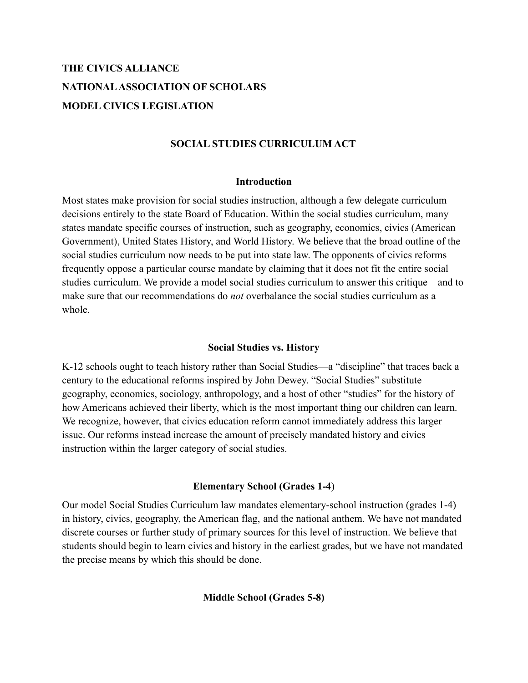# **THE CIVICS ALLIANCE NATIONALASSOCIATION OF SCHOLARS MODEL CIVICS LEGISLATION**

### **SOCIAL STUDIES CURRICULUM ACT**

#### **Introduction**

Most states make provision for social studies instruction, although a few delegate curriculum decisions entirely to the state Board of Education. Within the social studies curriculum, many states mandate specific courses of instruction, such as geography, economics, civics (American Government), United States History, and World History. We believe that the broad outline of the social studies curriculum now needs to be put into state law. The opponents of civics reforms frequently oppose a particular course mandate by claiming that it does not fit the entire social studies curriculum. We provide a model social studies curriculum to answer this critique—and to make sure that our recommendations do *not* overbalance the social studies curriculum as a whole.

#### **Social Studies vs. History**

K-12 schools ought to teach history rather than Social Studies—a "discipline" that traces back a century to the educational reforms inspired by John Dewey. "Social Studies" substitute geography, economics, sociology, anthropology, and a host of other "studies" for the history of how Americans achieved their liberty, which is the most important thing our children can learn. We recognize, however, that civics education reform cannot immediately address this larger issue. Our reforms instead increase the amount of precisely mandated history and civics instruction within the larger category of social studies.

#### **Elementary School (Grades 1-4**)

Our model Social Studies Curriculum law mandates elementary-school instruction (grades 1-4) in history, civics, geography, the American flag, and the national anthem. We have not mandated discrete courses or further study of primary sources for this level of instruction. We believe that students should begin to learn civics and history in the earliest grades, but we have not mandated the precise means by which this should be done.

**Middle School (Grades 5-8)**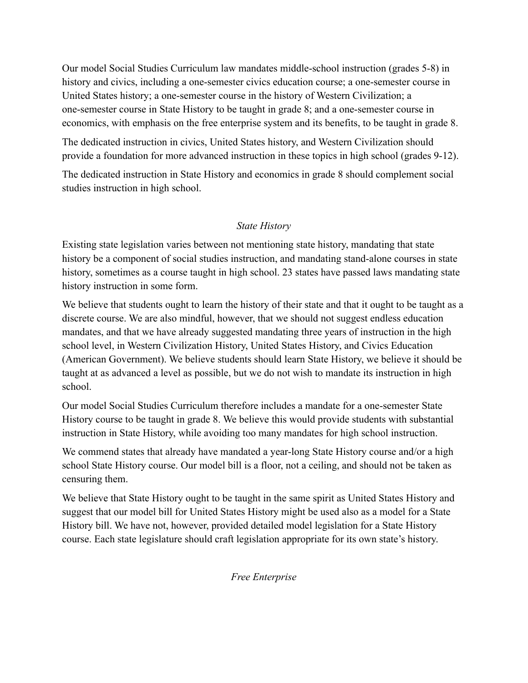Our model Social Studies Curriculum law mandates middle-school instruction (grades 5-8) in history and civics, including a one-semester civics education course; a one-semester course in United States history; a one-semester course in the history of Western Civilization; a one-semester course in State History to be taught in grade 8; and a one-semester course in economics, with emphasis on the free enterprise system and its benefits, to be taught in grade 8.

The dedicated instruction in civics, United States history, and Western Civilization should provide a foundation for more advanced instruction in these topics in high school (grades 9-12).

The dedicated instruction in State History and economics in grade 8 should complement social studies instruction in high school.

### *State History*

Existing state legislation varies between not mentioning state history, mandating that state history be a component of social studies instruction, and mandating stand-alone courses in state history, sometimes as a course taught in high school. 23 states have passed laws mandating state history instruction in some form.

We believe that students ought to learn the history of their state and that it ought to be taught as a discrete course. We are also mindful, however, that we should not suggest endless education mandates, and that we have already suggested mandating three years of instruction in the high school level, in Western Civilization History, United States History, and Civics Education (American Government). We believe students should learn State History, we believe it should be taught at as advanced a level as possible, but we do not wish to mandate its instruction in high school.

Our model Social Studies Curriculum therefore includes a mandate for a one-semester State History course to be taught in grade 8. We believe this would provide students with substantial instruction in State History, while avoiding too many mandates for high school instruction.

We commend states that already have mandated a year-long State History course and/or a high school State History course. Our model bill is a floor, not a ceiling, and should not be taken as censuring them.

We believe that State History ought to be taught in the same spirit as United States History and suggest that our model bill for United States History might be used also as a model for a State History bill. We have not, however, provided detailed model legislation for a State History course. Each state legislature should craft legislation appropriate for its own state's history.

*Free Enterprise*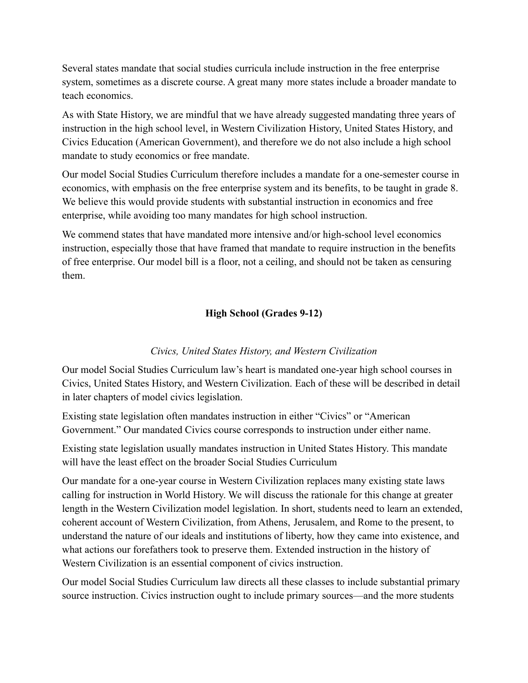Several states mandate that social studies curricula include instruction in the free enterprise system, sometimes as a discrete course. A great many more states include a broader mandate to teach economics.

As with State History, we are mindful that we have already suggested mandating three years of instruction in the high school level, in Western Civilization History, United States History, and Civics Education (American Government), and therefore we do not also include a high school mandate to study economics or free mandate.

Our model Social Studies Curriculum therefore includes a mandate for a one-semester course in economics, with emphasis on the free enterprise system and its benefits, to be taught in grade 8. We believe this would provide students with substantial instruction in economics and free enterprise, while avoiding too many mandates for high school instruction.

We commend states that have mandated more intensive and/or high-school level economics instruction, especially those that have framed that mandate to require instruction in the benefits of free enterprise. Our model bill is a floor, not a ceiling, and should not be taken as censuring them.

# **High School (Grades 9-12)**

## *Civics, United States History, and Western Civilization*

Our model Social Studies Curriculum law's heart is mandated one-year high school courses in Civics, United States History, and Western Civilization. Each of these will be described in detail in later chapters of model civics legislation.

Existing state legislation often mandates instruction in either "Civics" or "American Government." Our mandated Civics course corresponds to instruction under either name.

Existing state legislation usually mandates instruction in United States History. This mandate will have the least effect on the broader Social Studies Curriculum

Our mandate for a one-year course in Western Civilization replaces many existing state laws calling for instruction in World History. We will discuss the rationale for this change at greater length in the Western Civilization model legislation. In short, students need to learn an extended, coherent account of Western Civilization, from Athens, Jerusalem, and Rome to the present, to understand the nature of our ideals and institutions of liberty, how they came into existence, and what actions our forefathers took to preserve them. Extended instruction in the history of Western Civilization is an essential component of civics instruction.

Our model Social Studies Curriculum law directs all these classes to include substantial primary source instruction. Civics instruction ought to include primary sources—and the more students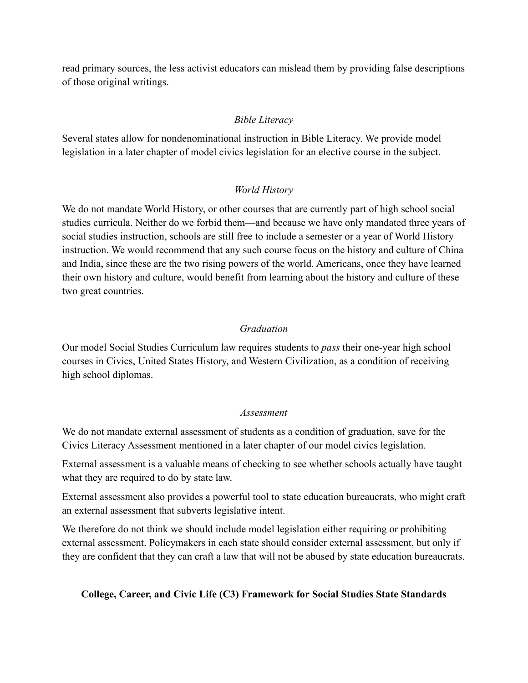read primary sources, the less activist educators can mislead them by providing false descriptions of those original writings.

### *Bible Literacy*

Several states allow for nondenominational instruction in Bible Literacy. We provide model legislation in a later chapter of model civics legislation for an elective course in the subject.

### *World History*

We do not mandate World History, or other courses that are currently part of high school social studies curricula. Neither do we forbid them—and because we have only mandated three years of social studies instruction, schools are still free to include a semester or a year of World History instruction. We would recommend that any such course focus on the history and culture of China and India, since these are the two rising powers of the world. Americans, once they have learned their own history and culture, would benefit from learning about the history and culture of these two great countries.

#### *Graduation*

Our model Social Studies Curriculum law requires students to *pass* their one-year high school courses in Civics, United States History, and Western Civilization, as a condition of receiving high school diplomas.

#### *Assessment*

We do not mandate external assessment of students as a condition of graduation, save for the Civics Literacy Assessment mentioned in a later chapter of our model civics legislation.

External assessment is a valuable means of checking to see whether schools actually have taught what they are required to do by state law.

External assessment also provides a powerful tool to state education bureaucrats, who might craft an external assessment that subverts legislative intent.

We therefore do not think we should include model legislation either requiring or prohibiting external assessment. Policymakers in each state should consider external assessment, but only if they are confident that they can craft a law that will not be abused by state education bureaucrats.

#### **College, Career, and Civic Life (C3) Framework for Social Studies State Standards**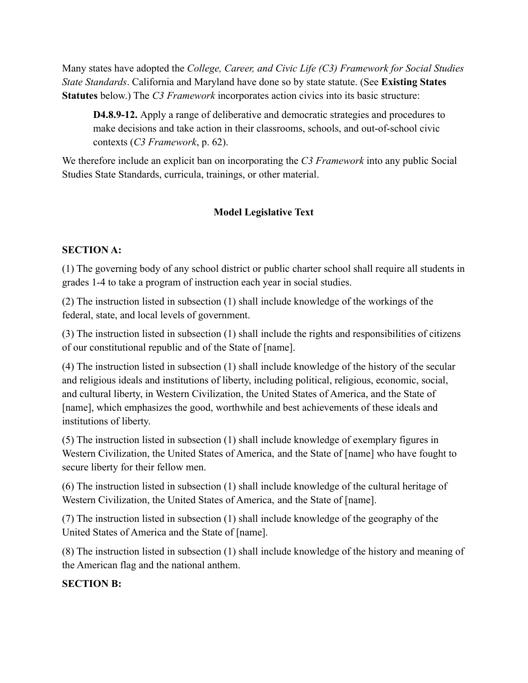Many states have adopted the *College, Career, and Civic Life (C3) Framework for Social Studies State Standards*. California and Maryland have done so by state statute. (See **Existing States Statutes** below.) The *C3 Framework* incorporates action civics into its basic structure:

**D4.8.9-12.** Apply a range of deliberative and democratic strategies and procedures to make decisions and take action in their classrooms, schools, and out-of-school civic contexts (*C3 Framework*, p. 62).

We therefore include an explicit ban on incorporating the *C3 Framework* into any public Social Studies State Standards, curricula, trainings, or other material.

# **Model Legislative Text**

### **SECTION A:**

(1) The governing body of any school district or public charter school shall require all students in grades 1-4 to take a program of instruction each year in social studies.

(2) The instruction listed in subsection (1) shall include knowledge of the workings of the federal, state, and local levels of government.

(3) The instruction listed in subsection (1) shall include the rights and responsibilities of citizens of our constitutional republic and of the State of [name].

(4) The instruction listed in subsection (1) shall include knowledge of the history of the secular and religious ideals and institutions of liberty, including political, religious, economic, social, and cultural liberty, in Western Civilization, the United States of America, and the State of [name], which emphasizes the good, worthwhile and best achievements of these ideals and institutions of liberty.

(5) The instruction listed in subsection (1) shall include knowledge of exemplary figures in Western Civilization, the United States of America, and the State of [name] who have fought to secure liberty for their fellow men.

(6) The instruction listed in subsection (1) shall include knowledge of the cultural heritage of Western Civilization, the United States of America, and the State of [name].

(7) The instruction listed in subsection (1) shall include knowledge of the geography of the United States of America and the State of [name].

(8) The instruction listed in subsection (1) shall include knowledge of the history and meaning of the American flag and the national anthem.

#### **SECTION B:**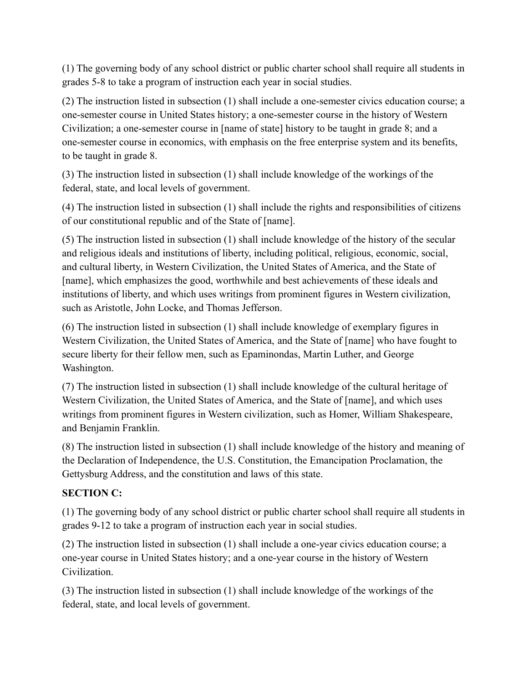(1) The governing body of any school district or public charter school shall require all students in grades 5-8 to take a program of instruction each year in social studies.

(2) The instruction listed in subsection (1) shall include a one-semester civics education course; a one-semester course in United States history; a one-semester course in the history of Western Civilization; a one-semester course in [name of state] history to be taught in grade 8; and a one-semester course in economics, with emphasis on the free enterprise system and its benefits, to be taught in grade 8.

(3) The instruction listed in subsection (1) shall include knowledge of the workings of the federal, state, and local levels of government.

(4) The instruction listed in subsection (1) shall include the rights and responsibilities of citizens of our constitutional republic and of the State of [name].

(5) The instruction listed in subsection (1) shall include knowledge of the history of the secular and religious ideals and institutions of liberty, including political, religious, economic, social, and cultural liberty, in Western Civilization, the United States of America, and the State of [name], which emphasizes the good, worthwhile and best achievements of these ideals and institutions of liberty, and which uses writings from prominent figures in Western civilization, such as Aristotle, John Locke, and Thomas Jefferson.

(6) The instruction listed in subsection (1) shall include knowledge of exemplary figures in Western Civilization, the United States of America, and the State of [name] who have fought to secure liberty for their fellow men, such as Epaminondas, Martin Luther, and George Washington.

(7) The instruction listed in subsection (1) shall include knowledge of the cultural heritage of Western Civilization, the United States of America, and the State of [name], and which uses writings from prominent figures in Western civilization, such as Homer, William Shakespeare, and Benjamin Franklin.

(8) The instruction listed in subsection (1) shall include knowledge of the history and meaning of the Declaration of Independence, the U.S. Constitution, the Emancipation Proclamation, the Gettysburg Address, and the constitution and laws of this state.

# **SECTION C:**

(1) The governing body of any school district or public charter school shall require all students in grades 9-12 to take a program of instruction each year in social studies.

(2) The instruction listed in subsection (1) shall include a one-year civics education course; a one-year course in United States history; and a one-year course in the history of Western Civilization.

(3) The instruction listed in subsection (1) shall include knowledge of the workings of the federal, state, and local levels of government.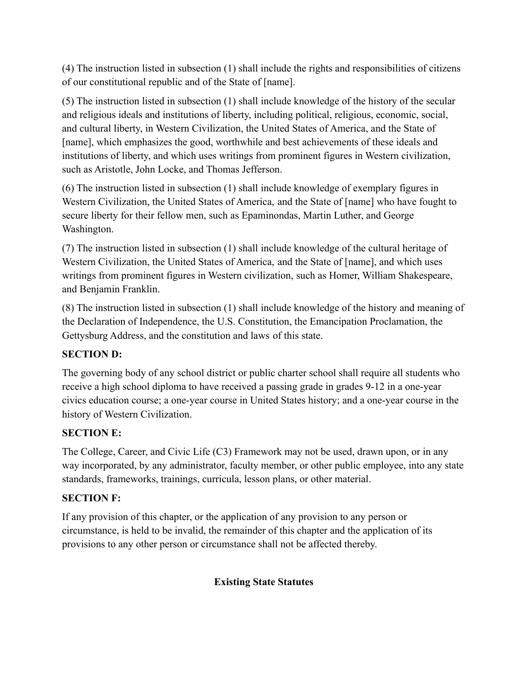(4) The instruction listed in subsection (1) shall include the rights and responsibilities of citizens of our constitutional republic and of the State of [name].

(5) The instruction listed in subsection (1) shall include knowledge of the history of the secular and religious ideals and institutions of liberty, including political, religious, economic, social, and cultural liberty, in Western Civilization, the United States of America, and the State of [name], which emphasizes the good, worthwhile and best achievements of these ideals and institutions of liberty, and which uses writings from prominent figures in Western civilization, such as Aristotle, John Locke, and Thomas Jefferson.

(6) The instruction listed in subsection (1) shall include knowledge of exemplary figures in Western Civilization, the United States of America, and the State of [name] who have fought to secure liberty for their fellow men, such as Epaminondas, Martin Luther, and George Washington.

(7) The instruction listed in subsection (1) shall include knowledge of the cultural heritage of Western Civilization, the United States of America, and the State of [name], and which uses writings from prominent figures in Western civilization, such as Homer, William Shakespeare, and Benjamin Franklin.

(8) The instruction listed in subsection (1) shall include knowledge of the history and meaning of the Declaration of Independence, the U.S. Constitution, the Emancipation Proclamation, the Gettysburg Address, and the constitution and laws of this state.

# **SECTION D:**

The governing body of any school district or public charter school shall require all students who receive a high school diploma to have received a passing grade in grades 9-12 in a one-year civics education course; a one-year course in United States history; and a one-year course in the history of Western Civilization.

# **SECTION E:**

The College, Career, and Civic Life (C3) Framework may not be used, drawn upon, or in any way incorporated, by any administrator, faculty member, or other public employee, into any state standards, frameworks, trainings, curricula, lesson plans, or other material.

# **SECTION F:**

If any provision of this chapter, or the application of any provision to any person or circumstance, is held to be invalid, the remainder of this chapter and the application of its provisions to any other person or circumstance shall not be affected thereby.

# **Existing State Statutes**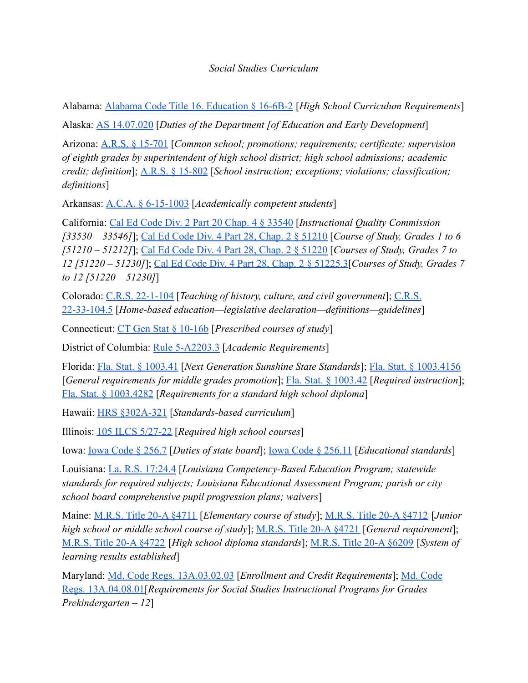### *Social Studies Curriculum*

Alabama: [Alabama Code Title 16. Education § 16-6B-2](https://codes.findlaw.com/al/title-16-education/al-code-sect-16-6b-2.html) [*High School Curriculum Requirements*]

Alaska: [AS 14.07.020](http://www.touchngo.com/lglcntr/akstats/statutes/title14/chapter07/section020.htm) [*Duties of the Department [of Education and Early Development*]

Arizona: [A.R.S. § 15-701](https://www.azleg.gov/ars/15/00701.htm) [*Common school; promotions; requirements; certificate; supervision of eighth grades by superintendent of high school district; high school admissions; academic credit; definition*]; [A.R.S. § 15-802](https://www.azleg.gov/ars/15/00802.htm) [*School instruction; exceptions; violations; classification; definitions*]

Arkansas: [A.C.A. § 6-15-1003](https://codes.findlaw.com/ar/title-6-education/ar-code-sect-6-15-1003.html) [*Academically competent students*]

California: [Cal Ed Code Div. 2 Part 20 Chap. 4 § 33540](https://leginfo.legislature.ca.gov/faces/codes_displaySection.xhtml?lawCode=EDC§ionNum=33540.) [*Instructional Quality Commission [33530 – 33546]*]; [Cal Ed Code Div. 4 Part 28, Chap.](https://leginfo.legislature.ca.gov/faces/codes_displaySection.xhtml?lawCode=EDC§ionNum=51210.) 2 § 51210 [*Course of Study, Grades 1 to 6 [51210 – 51212]*]; [Cal Ed Code Div. 4 Part 28, Chap.](https://leginfo.legislature.ca.gov/faces/codes_displaySection.xhtml?lawCode=EDC§ionNum=51220.) 2 § 51220 [*Courses of Study, Grades 7 to 12 [51220 – 51230]*]; [Cal Ed Code Div. 4 Part 28, Chap.](https://leginfo.legislature.ca.gov/faces/codes_displaySection.xhtml?lawCode=EDC§ionNum=51225.3.) 2 § 51225.3[*Courses of Study, Grades 7 to 12 [51220 – 51230]*]

Colorado: [C.R.S. 22-1-104](https://legiscan.com/CO/text/SB067/id/2384645/Colorado-2021-SB067-Enrolled.pdf) [*Teaching of history, culture, and civil government*]; [C.R.S.](https://codes.findlaw.com/co/title-22-education/co-rev-st-sect-22-33-104-5.html) [22-33-104.5](https://codes.findlaw.com/co/title-22-education/co-rev-st-sect-22-33-104-5.html) [*Home-based education—legislative declaration—definitions—guidelines*]

Connecticut: [CT Gen Stat § 10-16b](https://www.lawserver.com/law/state/connecticut/ct-laws/connecticut_statutes_10-16b) [*Prescribed courses of study*]

District of Columbia: [Rule 5-A2203.3](http://dcrules.elaws.us/dcmr/5-a2203) [*Academic Requirements*]

Florida: [Fla. Stat. § 1003.41](http://www.leg.state.fl.us/Statutes/index.cfm?App_mode=Display_Statute&URL=1000-1099/1003/Sections/1003.41.html) [*Next Generation Sunshine State Standards*]; [Fla. Stat. § 1003.4156](http://www.leg.state.fl.us/Statutes/index.cfm?App_mode=Display_Statute&Search_String=&URL=1000-1099/1003/Sections/1003.4156.html) [*General requirements for middle grades promotion*]; [Fla. Stat. § 1003.42](http://www.leg.state.fl.us/Statutes/index.cfm?App_mode=Display_Statute&Search_String=&URL=1000-1099/1003/Sections/1003.42.html) [*Required instruction*]; [Fla. Stat. § 1003.4282](http://www.leg.state.fl.us/Statutes/index.cfm?App_mode=Display_Statute&Search_String=&URL=1000-1099/1003/Sections/1003.4282.html) [*Requirements for a standard high school diploma*]

Hawaii: [HRS §302A-321](https://law.justia.com/codes/hawaii/2019/title-18/chapter-302a/section-302a-321/) [*Standards-based curriculum*]

Illinois: [105 ILCS 5/27-22](https://ilga.gov/legislation/ilcs/fulltext.asp?DocName=010500050K27-22) [*Required high school courses*]

Iowa: [Iowa Code § 256.7](https://www.legis.iowa.gov/docs/code/2021/256.7.pdf) [*Duties of state board*]; Iowa [Code § 256.11](https://www.legis.iowa.gov/docs/code/2021/256.11.pdf) [*Educational standards*]

Louisiana: [La. R.S. 17:24.4](http://legis.la.gov/legis/Law.aspx?d=80356) [*Louisiana Competency-Based Education Program; statewide standards for required subjects; Louisiana Educational Assessment Program; parish or city school board comprehensive pupil progression plans; waivers*]

Maine: [M.R.S. Title 20-A §4711](https://www.mainelegislature.org/legis/statutes/20-A/title20-Asec4711.html) [*Elementary course of study*]; [M.R.S. Title 20-A §4712](https://www.mainelegislature.org/legis/statutes/20-A/title20-Asec4712.html) [*Junior high school or middle school course of study*]; M.R.S. [Title 20-A §4721](https://www.mainelegislature.org/legis/statutes/20-A/title20-Asec4721.html) [*General requirement*]; [M.R.S. Title 20-A §4722](https://www.mainelegislature.org/legis/statutes/20-A/title20-Asec4722.html) [*High school diploma standards*]; [M.R.S. Title 20-A §6209](https://www.mainelegislature.org/legis/statutes/20-A/title20-Asec6209.html) [*System of learning results established*]

Maryland: [Md. Code Regs. 13A.03.02.03](https://casetext.com/regulation/maryland-administrative-code/title-13a-state-board-of-education/subtitle-03-general-instructional-programs/chapter-13a0302-graduation-requirements-for-public-high-schools-in-maryland/section-13a030203-enrollment-and-credit-requirements) [*Enrollment and Credit Requirements*]; [Md. Code](https://casetext.com/regulation/maryland-administrative-code/title-13a-state-board-of-education/subtitle-04-specific-subjects/chapter-13a0408-program-in-social-studies/section-13a040801-requirements-for-social-studies-instructional-programs-for-grades-prekindergarten-12?) [Regs. 13A.04.08.01\[](https://casetext.com/regulation/maryland-administrative-code/title-13a-state-board-of-education/subtitle-04-specific-subjects/chapter-13a0408-program-in-social-studies/section-13a040801-requirements-for-social-studies-instructional-programs-for-grades-prekindergarten-12?)*Requirements for Social Studies Instructional Programs for Grades Prekindergarten – 12*]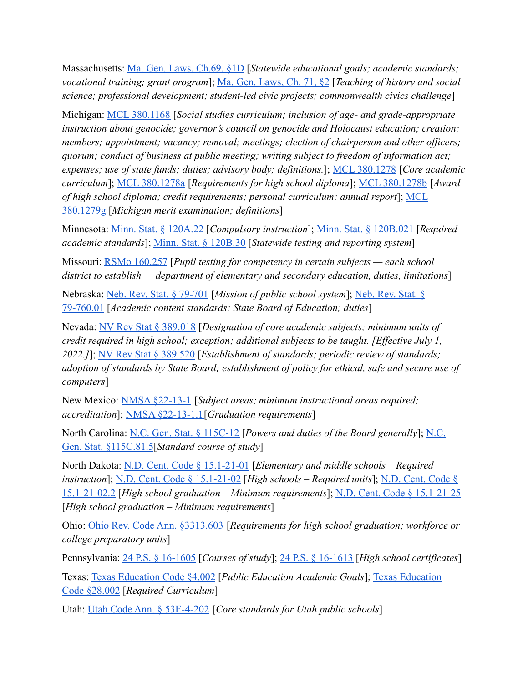Massachusetts: [Ma. Gen. Laws, Ch.69, §1D](https://malegislature.gov/Laws/GeneralLaws/PartI/TitleXII/Chapter69/Section1D) [*Statewide educational goals; academic standards; vocational training; grant program*]; [Ma. Gen. Laws,](https://malegislature.gov/Laws/GeneralLaws/PartI/TitleXII/Chapter71/Section2) Ch. 71, §2 [*Teaching of history and social science; professional development; student-led civic projects; commonwealth civics challenge*]

Michigan: [MCL 380.1168](http://www.legislature.mi.gov/(S(wq4pqgmxgng5tgk2ti4aj4xh))/mileg.aspx?page=getObject&objectName=mcl-380-1168) [*Social studies curriculum; inclusion of age- and grade-appropriate instruction about genocide; governor's council on genocide and Holocaust education; creation; members; appointment; vacancy; removal; meetings; election of chairperson and other officers; quorum; conduct of business at public meeting; writing subject to freedom of information act; expenses; use of state funds; duties; advisory body; definitions.*]; [MCL 380.1278](http://www.legislature.mi.gov/(S(wq4pqgmxgng5tgk2ti4aj4xh))/mileg.aspx?page=getObject&objectname=mcl-380-1278) [*Core academic curriculum*]; [MCL 380.1278a](http://www.legislature.mi.gov/(S(wq4pqgmxgng5tgk2ti4aj4xh))/mileg.aspx?page=getObject&objectName=mcl-380-1278a) [*Requirements for high school diploma*]; [MCL 380.1278b](http://www.legislature.mi.gov/(S(wq4pqgmxgng5tgk2ti4aj4xh))/mileg.aspx?page=getObject&objectName=mcl-380-1278b) [*Award of high school diploma; credit requirements; personal curriculum; annual report*]; [MCL](http://www.legislature.mi.gov/(S(3rbnpte1hp4wayhnmvbwjeyg))/mileg.aspx?page=getObject&objectName=mcl-380-1279g) [380.1279g](http://www.legislature.mi.gov/(S(3rbnpte1hp4wayhnmvbwjeyg))/mileg.aspx?page=getObject&objectName=mcl-380-1279g) [*Michigan merit examination; definitions*]

Minnesota: [Minn. Stat. § 120A.22](https://www.revisor.mn.gov/statutes/cite/120A.22) [*Compulsory instruction*]; [Minn. Stat. § 120B.021](https://www.revisor.mn.gov/statutes/cite/120B.021) [*Required academic standards*]; [Minn. Stat. § 120B.30](https://www.revisor.mn.gov/statutes/cite/120B.30) [*Statewide testing and reporting system*]

Missouri: [RSMo 160.257](https://revisor.mo.gov/main/OneSection.aspx?section=160.257&bid=7749&hl=%22social+studies%22%u2044) [*Pupil testing for competency in certain subjects — each school district to establish — department of elementary and secondary education, duties, limitations*]

Nebraska: [Neb. Rev. Stat. § 79-701](https://nebraskalegislature.gov/laws/statutes.php?statute=79-701) [*Mission of public school system*]; [Neb. Rev. Stat. §](https://nebraskalegislature.gov/laws/statutes.php?statute=79-760.01) [79-760.01](https://nebraskalegislature.gov/laws/statutes.php?statute=79-760.01) [*Academic content standards; State Board of Education; duties*]

Nevada: [NV Rev Stat § 389.018](https://www.leg.state.nv.us/nrs/NRS-389.html#NRS389Sec018) [*Designation of core academic subjects; minimum units of credit required in high school; exception; additional subjects to be taught. [Effective July 1, 2022.]*]; [NV Rev Stat § 389.520](https://www.leg.state.nv.us/nrs/NRS-389.html#NRS389Sec520) [*Establishment of standards; periodic review of standards; adoption of standards by State Board; establishment of policy for ethical, safe and secure use of computers*]

New Mexico: [NMSA §22-13-1](https://codes.findlaw.com/nm/chapter-22-public-schools/nm-st-sect-22-13-1.html) [*Subject areas; minimum instructional areas required; accreditation*]; [NMSA §22-13-1.1\[](https://codes.findlaw.com/nm/chapter-22-public-schools/nm-st-sect-22-13-1-1.html)*Graduation requirements*]

North Carolina: [N.C. Gen. Stat. § 115C-12](https://www.ncleg.net/enactedlegislation/statutes/html/bysection/chapter_115c/gs_115c-12.html) [*Powers and duties of the Board generally*]; [N.C.](https://www.ncleg.gov/EnactedLegislation/Statutes/PDF/BySection/Chapter_115C/GS_115C-81.5.pdf) [Gen. Stat. §115C.81.5](https://www.ncleg.gov/EnactedLegislation/Statutes/PDF/BySection/Chapter_115C/GS_115C-81.5.pdf)[*Standard course of study*]

North Dakota: [N.D. Cent. Code § 15.1-21-01](https://casetext.com/statute/north-dakota-century-code/title-151-elementary-and-secondary-education/chapter-151-21-curriculum-and-testing/section-151-21-01-elementary-and-middle-schools-required-instruction) [*Elementary and middle schools – Required instruction*]; [N.D. Cent. Code § 15.1-21-02](https://casetext.com/statute/north-dakota-century-code/title-151-elementary-and-secondary-education/chapter-151-21-curriculum-and-testing/section-151-21-02-effective-812021-high-schools-required-units) [*High schools – Required units*]; [N.D. Cent. Code §](https://casetext.com/statute/north-dakota-century-code/title-151-elementary-and-secondary-education/chapter-151-21-curriculum-and-testing/section-151-21-022-effective-812025-high-school-graduation-minimum-requirements) [15.1-21-02.2](https://casetext.com/statute/north-dakota-century-code/title-151-elementary-and-secondary-education/chapter-151-21-curriculum-and-testing/section-151-21-022-effective-812025-high-school-graduation-minimum-requirements) [*High school graduation – Minimum requirements*]; [N.D. Cent. Code § 15.1-21-25](https://casetext.com/statute/north-dakota-century-code/title-151-elementary-and-secondary-education/chapter-151-21-curriculum-and-testing/section-151-21-25-high-school-graduation-minimum-requirements) [*High school graduation – Minimum requirements*]

Ohio: [Ohio Rev. Code Ann. §3313.603](https://codes.ohio.gov/ohio-revised-code/section-3313.603) [*Requirements for high school graduation; workforce or college preparatory units*]

Pennsylvania: [24 P.S. § 16-1605](https://codes.findlaw.com/pa/title-24-ps-education/pa-st-sect-24-16-1605.html) [*Courses of study*]; [24 P.S. § 16-1613](https://codes.findlaw.com/pa/title-24-ps-education/pa-st-sect-24-16-1613.html) [*High school certificates*]

Texas: [Texas Education Code §4.002](https://statutes.capitol.texas.gov/Docs/ED/htm/ED.4.htm) [*Public Education Academic Goals*]; [Texas Education](https://statutes.capitol.texas.gov/Docs/ED/htm/ED.28.htm#28.001) [Code §28.002](https://statutes.capitol.texas.gov/Docs/ED/htm/ED.28.htm#28.001) [*Required Curriculum*]

Utah: [Utah Code Ann. § 53E-4-202](https://le.utah.gov/xcode/Title53E/Chapter4/53E-4-S202.html?v=C53E-4-S202_2021050520210701) [*Core standards for Utah public schools*]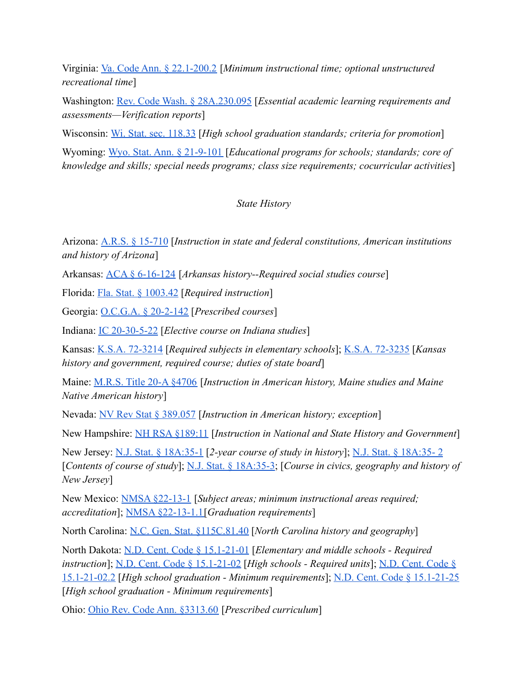Virginia: [Va. Code Ann. § 22.1-200.2](https://law.lis.virginia.gov/vacode/title22.1/chapter13/section22.1-200.2/) [*Minimum instructional time; optional unstructured recreational time*]

Washington: [Rev. Code Wash. § 28A.230.095](https://app.leg.wa.gov/RCW/default.aspx?cite=28A.230.095) [*Essential academic learning requirements and assessments—Verification reports*]

Wisconsin: [Wi. Stat. sec. 118.33](https://docs.legis.wisconsin.gov/statutes/statutes/118/33) [*High school graduation standards; criteria for promotion*]

Wyoming: [Wyo. Stat. Ann. § 21-9-101](https://codes.findlaw.com/wy/title-21-education/wy-st-sect-21-9-101.html) [*Educational programs for schools; standards; core of knowledge and skills; special needs programs; class size requirements; cocurricular activities*]

### *State History*

Arizona: [A.R.S. § 15-710](https://www.azleg.gov/ars/15/00710.htm) [*Instruction in state and federal constitutions, American institutions and history of Arizona*]

Arkansas: [ACA § 6-16-124](https://codes.findlaw.com/ar/title-6-education/ar-code-sect-6-16-124.html) [*Arkansas history--Required social studies course*]

Florida: [Fla. Stat. § 1003.42](http://www.leg.state.fl.us/Statutes/index.cfm?App_mode=Display_Statute&Search_String=&URL=1000-1099/1003/Sections/1003.42.html) [*Required instruction*]

Georgia: [O.C.G.A. § 20-2-142](https://law.justia.com/codes/georgia/2019/title-20/chapter-2/article-6/part-2/section-20-2-142/) [*Prescribed courses*]

Indiana: [IC 20-30-5-22](http://iga.in.gov/legislative/laws/2020/ic/titles/020#20-30-5-22) [*Elective course on Indiana studies*]

Kansas: [K.S.A. 72-3214](https://www.ksrevisor.org/statutes/chapters/ch72/072_032_0014.html) [*Required subjects in elementary schools*]; [K.S.A. 72-3235](https://www.ksrevisor.org/statutes/chapters/ch72/072_032_0035.html) [*Kansas history and government, required course; duties of state board*]

Maine: [M.R.S. Title 20-A §4706](http://www.mainelegislature.org/legis/statutes/20-a/title20-Asec4706.html) [*Instruction in American history, Maine studies and Maine Native American history*]

Nevada: [NV Rev Stat § 389.057](https://www.leg.state.nv.us/nrs/NRS-389.html#NRS389Sec057) [*Instruction in American history; exception*]

New Hampshire: [NH RSA §189:11](http://www.gencourt.state.nh.us/rsa/html/xv/189/189-11.htm) [*Instruction in National and State History and Government*]

New Jersey: [N.J. Stat. § 18A:35-1](https://njlaw.rutgers.edu/collections/njstats/showsect.php?title=18a&chapter=35§ion=1&actn=getsect) [*2-year course of study in history*]; [N.J. Stat. § 18A:35- 2](https://njlaw.rutgers.edu/collections/njstats/showsect.php?title=18a&chapter=35§ion=2&actn=getsect) [*Contents of course of study*]; [N.J. Stat. § 18A:35-3;](https://njlaw.rutgers.edu/collections/njstats/showsect.php?title=18a&chapter=35§ion=3&actn=getsect) [*Course in civics, geography and history of New Jersey*]

New Mexico: [NMSA §22-13-1](https://codes.findlaw.com/nm/chapter-22-public-schools/nm-st-sect-22-13-1.html) [*Subject areas; minimum instructional areas required; accreditation*]; [NMSA §22-13-1.1\[](https://codes.findlaw.com/nm/chapter-22-public-schools/nm-st-sect-22-13-1-1.html)*Graduation requirements*]

North Carolina: [N.C. Gen. Stat. §115C.81.40](https://www.ncleg.gov/EnactedLegislation/Statutes/PDF/BySection/Chapter_115C/GS_115C-81.40.pdf) [*North Carolina history and geography*]

North Dakota: [N.D. Cent. Code § 15.1-21-01](https://casetext.com/statute/north-dakota-century-code/title-151-elementary-and-secondary-education/chapter-151-21-curriculum-and-testing/section-151-21-01-elementary-and-middle-schools-required-instruction) [*Elementary and middle schools - Required instruction*]; [N.D. Cent. Code § 15.1-21-02](https://casetext.com/statute/north-dakota-century-code/title-151-elementary-and-secondary-education/chapter-151-21-curriculum-and-testing/section-151-21-02-effective-812021-high-schools-required-units) [*High schools - Required units*]; [N.D. Cent. Code §](https://casetext.com/statute/north-dakota-century-code/title-151-elementary-and-secondary-education/chapter-151-21-curriculum-and-testing/section-151-21-022-effective-812025-high-school-graduation-minimum-requirements) [15.1-21-02.2](https://casetext.com/statute/north-dakota-century-code/title-151-elementary-and-secondary-education/chapter-151-21-curriculum-and-testing/section-151-21-022-effective-812025-high-school-graduation-minimum-requirements) [*High school graduation - Minimum requirements*]; [N.D. Cent. Code § 15.1-21-25](https://casetext.com/statute/north-dakota-century-code/title-151-elementary-and-secondary-education/chapter-151-21-curriculum-and-testing/section-151-21-25-high-school-graduation-minimum-requirements) [*High school graduation - Minimum requirements*]

Ohio: [Ohio Rev. Code Ann. §3313.60](https://codes.ohio.gov/ohio-revised-code/section-3313.60) [*Prescribed curriculum*]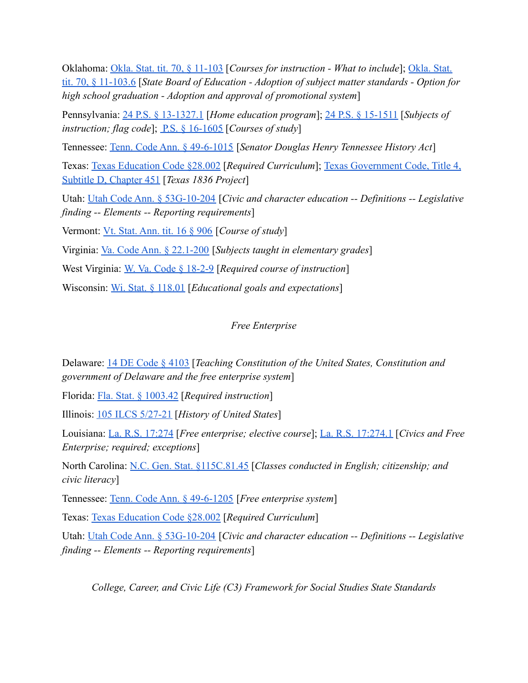Oklahoma: [Okla. Stat. tit. 70, § 11-103](https://casetext.com/statute/oklahoma-statutes/title-70-schools/70-11-103-courses-for-instruction-what-to-include) [*Courses for instruction - What to include*]; [Okla. Stat.](https://legiscan.com/OK/text/HB2030/id/2382036/Oklahoma-2021-HB2030-Enrolled.pdf) [tit. 70, § 11-103.6](https://legiscan.com/OK/text/HB2030/id/2382036/Oklahoma-2021-HB2030-Enrolled.pdf) [*State Board of Education - Adoption of subject matter standards - Option for high school graduation - Adoption and approval of promotional system*]

Pennsylvania: [24 P.S. § 13-1327.1](https://codes.findlaw.com/pa/title-24-ps-education/pa-st-sect-24-13-1327-1.html) [*Home education program*]; [24 P.S. § 15-1511](https://codes.findlaw.com/pa/title-24-ps-education/pa-st-sect-24-15-1511.html) [*Subjects of instruction; flag code*]; <u>[P.S. § 16-1605](https://codes.findlaw.com/pa/title-24-ps-education/pa-st-sect-24-16-1605.html)</u> [*Courses of study*]

Tennessee: [Tenn. Code Ann. § 49-6-1015](https://casetext.com/statute/tennessee-code/title-49-education/chapter-6-elementary-and-secondary-education/part-10-curriculum-generally/section-49-6-1015-senator-douglas-henry-tennessee-history-act) [*Senator Douglas Henry Tennessee History Act*]

Texas: [Texas Education Code §28.002](https://statutes.capitol.texas.gov/Docs/ED/htm/ED.28.htm#28.001) [*Required Curriculum*]; [Texas Government Code, Title 4,](https://legiscan.com/TX/text/HB2497/id/2407888/Texas-2021-HB2497-Enrolled.html) [Subtitle D, Chapter 451](https://legiscan.com/TX/text/HB2497/id/2407888/Texas-2021-HB2497-Enrolled.html) [*Texas 1836 Project*]

Utah: [Utah Code Ann. § 53G-10-204](https://le.utah.gov/xcode/Title53G/Chapter10/53G-10-S204.html) [*Civic and character education -- Definitions -- Legislative finding -- Elements -- Reporting requirements*]

Vermont: [Vt. Stat. Ann. tit. 16 § 906](https://legislature.vermont.gov/statutes/section/16/023/00906) [*Course of study*]

Virginia: [Va. Code Ann. § 22.1-200](https://law.lis.virginia.gov/vacode/title22.1/chapter13/section22.1-200/) [*Subjects taught in elementary grades*]

West Virginia: [W. Va. Code § 18-2-9](https://www.wvlegislature.gov/wvcode/ChapterEntire.cfm?chap=18&art=2§ion=9#:~:text=Required%20courses%20of%20instruction.,the%20State%20of%20West%20Virginia.) [*Required course of instruction*]

Wisconsin: [Wi. Stat. § 118.01](https://docs.legis.wisconsin.gov/statutes/statutes/118/01) [*Educational goals and expectations*]

*Free Enterprise*

Delaware: [14 DE Code § 4103](https://delcode.delaware.gov/title14/c041/sc01/index.html#4103.) [*Teaching Constitution of the United States, Constitution and government of Delaware and the free enterprise system*]

Florida: [Fla. Stat. § 1003.42](http://www.leg.state.fl.us/Statutes/index.cfm?App_mode=Display_Statute&Search_String=&URL=1000-1099/1003/Sections/1003.42.html) [*Required instruction*]

Illinois: [105 ILCS 5/27-21](https://www.ilga.gov/legislation/ilcs/fulltext.asp?DocName=010500050K27-21) [*History of United States*]

Louisiana: [La. R.S. 17:274](http://legis.la.gov/legis/Law.aspx?d=80399) [*Free enterprise; elective course*]; [La. R.S. 17:274.1](http://legis.la.gov/legis/Law.aspx?d=80400) [*Civics and Free Enterprise; required; exceptions*]

North Carolina: [N.C. Gen. Stat. §115C.81.45](https://www.ncleg.gov/EnactedLegislation/Statutes/PDF/BySection/Chapter_115C/GS_115C-81.45.pdf) [*Classes conducted in English; citizenship; and civic literacy*]

Tennessee: [Tenn. Code Ann. § 49-6-1205](https://casetext.com/statute/tennessee-code/title-49-education/chapter-6-elementary-and-secondary-education/part-12-junior-and-senior-high-schools-curriculum/section-49-6-1205-free-enterprise-system) [*Free enterprise system*]

Texas: [Texas Education Code §28.002](https://statutes.capitol.texas.gov/Docs/ED/htm/ED.28.htm#28.001) [*Required Curriculum*]

Utah: [Utah Code Ann. § 53G-10-204](https://le.utah.gov/xcode/Title53G/Chapter10/53G-10-S204.html) [*Civic and character education -- Definitions -- Legislative finding -- Elements -- Reporting requirements*]

*College, Career, and Civic Life (C3) Framework for Social Studies State Standards*